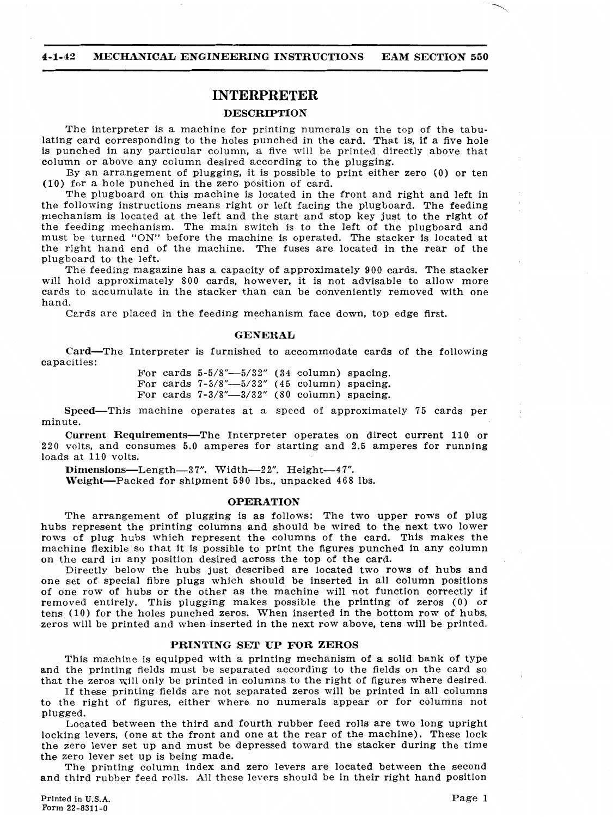-

#### **INTERPRETER**

#### **4-1-42 MECHANICAL ENGINEERING INSTRUCTIONS EAM SECTION 550**

#### **DESCRIPTION**

The interpreter is a machine for printing numerals on the top of the tabulating card corresponding to the holes punched in the card. That is, if a five hole is punched in any particular column, a five will be printed directly above that column or above any column desired according to the plugging.

By an arrangement of plugging, it is possible to print either zero **(0)** or ten (10) for a hole punched in the zero position of card.

Card—The Interpreter is furnished to accommodate cards of the following capacities:

> For cards 5-5/8"-5/32" **(34** column) spacing. For cards  $7-3/8''-5/32''$  (45 column) spacing. For cards  $7-3/8''-3/32''$  (80 column) spacing.

The plugboard on this machine is located in the front and right and left in the following instructions means right or left facing the plugboard. The feeding mechanism is located at the left and the start and stop key just to the right of the feeding mechanism. The main switch is to the left of the plugboard and must be turned "ON" before the machine is operated. The stacker is located at the right hand end of the machine. The fuses are located in the rear of the plugboard to the left.

Current Requirements—The Interpreter operates on direct current 110 or **220** volts, and consumes 5.0 amperes for starting and 2.5 amperes for running loads at 110 volts.

The feeding magazine has a capacity of approximately 900 cards. The stacker will hold approximately 800 cards, however, it is not advisable to allow more cards to accumulate in the stacker than can be conveniently removed with one hand.

Cards are placed in the feeding mechanism face down, top edge first.

#### **GENERAL**

Speed-This machine operates at a speed of approximately **75** cards per minute.

Dimensions-Length-3 **7".** Width-2 **2".** Height-4 **7".** 

Weight-Packed for shipment 590 lbs., unpacked 468 lbs.

#### **OPERATION**

The arrangement of plugging is as follows: The two upper rows of plug hubs represent the printing columns and should be wired to the next two lower rows cf plug hubs which represent the columns of the card. This makes the machine flexible so that it is possible to print the figures punched in any column on the card in any position desired across the top of the card.

Directly below the hubs just described are located two rows of hubs **and**  one set of special fibre plugs which should be inserted in all column positions of one row of hubs or the other as the machine will not function correctly if removed entirely. This plugging makes possible the printing of zeros **(0)** or tens (10) for the holes punched zeros. When inserted in the bottom row of hubs, zeros will be printed and when inserted in the next row above, tens will be printed.

#### **PRINTING SET** *UP* **FOR ZEROS**

This machine is equipped with a printing mechanism of a solid bank of type and the printing fields must be separated according to the fields on the card so that the zeros will only be printed in columns to the right of figures where desired.

If these printing fields are not separated zeros will be printed in all columns to the right of figures, either where no numerals appear or for columns not plugged.

Located between the third and fourth rubber feed rolls are two long upright locking levers, (one at the front and one at the rear of the machine). These lock the zero lever set up and must be depressed toward the stacker during the time the zero lever set up is being made.

The printing column index and zero levers are located between the second and third rubber feed rolls. All these levers should be in their right hand position

**Printed** in **U.S.A. Form 22-8311-0** 

Page 1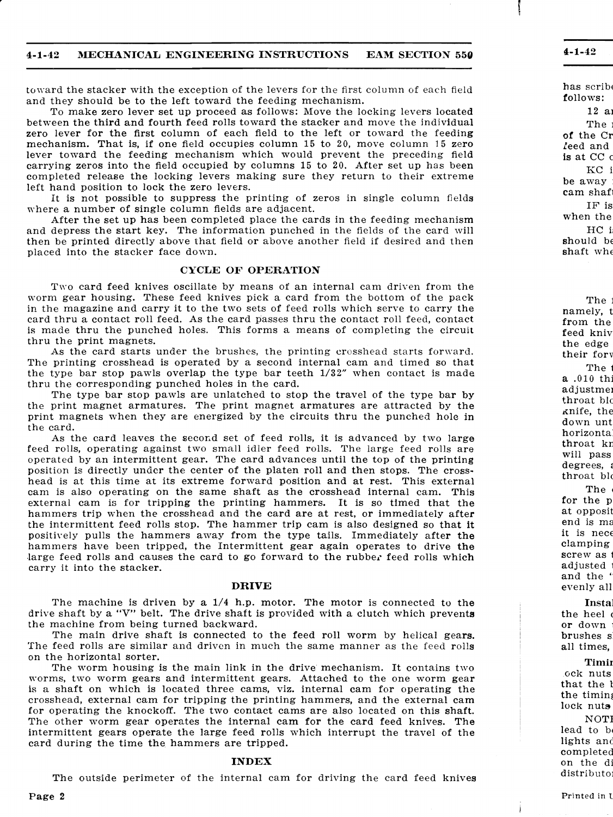#### **4-1-43 CHANICAL ENGINEERING INSTRUCTIONS EAM SECTION 550**

toward the stacker with the exception of the levers for the first column of each field and they should be to the left toward the feeding mechanism.

After the set up has been completed place the cards in the feeding mechanism and depress the start key. The information punched in the fields of the card will then be printed directly above that field or above another field if desired and then placed into the stacker face down.

#### **CYCLE OF OPERATION**

To make zero lever set up proceed as follows: Move the locking levers located between the third and fourth feed rolls toward the stacker and move the individual zero lever for the first column of each field to the left or toward the feeding mechanism. That is, if one field occupies column 15 to 20, move column 15 zero lever toward the feeding mechanism which would prevent the preceding field carrying zeros into the field occupied by columns 15 to 20. After set up has been completed release the locking levers making sure they return to their extreme left hand position to lock the zero levers.

It is not possible to suppress the printing of zeros in single column fields where a number of single column fields are adjacent.

As the card starts under the brushes, the printing crosshead starts forward. The printing crosshead is operated by a second internal cam and timed so that the type bar stop pawls overlap the type bar teeth **1/32"** when contact is made thru the corresponding punched holes in the card.

Two card feed knives oscillate by means of an internal cam driven from the worm gear housing. These feed knives pick a card from the bottom of the pack in the magazine and carry it to the two sets of feed rolls which serve to carry the card thru a contact roll feed. As the card passes thru the contact roll feed, contact is made thru the punched holes. This forms a means of completing the circuit thru the print magnets.

As the card leaves the second set of feed rolls, it is advanced by two large feed rolls, operating against two small idler feed rolls. The large feed rolls are operated by an intermittent gear. The card advances until the top of the printing position is directly under the center of the platen roll and then stops. The crosshead is at this time at its extreme forward position and at rest. This external cam is also operating on the same shaft as the crosshead internal cam. This external cam is for tripping the printing hammers. It is so timed that the hammers trip when the crosshead and the card are at rest, or immediately after the intermittent feed rolls stop. The hammer trip cam is also designed so that it positively pulls the hammers away from the type tails. Immediately after the hammers have been tripped, the Intermittent gear again operates to drive the large feed rolls and causes the card to go forward to the rubber feed rolls which carry it into the stacker.

The machine is driven by a  $1/4$  h.p. motor. The motor is connected to the drive shaft by a "V" belt. The drive shaft is provided with a clutch which prevents the machine from being turned backward.

The feed rolls are similar and driven in much the same manner as the feed rolls on the horizontal sorter.

The type bar stop pawls are unlatched to stop the travel of the type bar by the print magnet armatures. The print magnet armatures are attracted by the print magnets when they are energized by the circuits thru the punched hole in the card.

The worm housing is the main link in the drive mechanism. It contains two worms, two worm gears and intermittent gears. Attached to the one worm gear is a shaft on which is located three cams, **viz.** internal cam for operating the crosshead, external cam for tripping the printing hammers, and the external cam for operating the knockoff. The two contact cams are also located on this shaft. The other worm gear operates the internal cam for the card feed knives. The intermittent gears operate the large feed rolls which interrupt the travel of the card during the time the hammers are tripped.

#### **DRIVE**

#### **INDEX**

The outside perimeter of the internal cam for driving the card feed knives

**Page 2**  $\blacksquare$ 

I

!<br>|<br>|  $\mathbb{I}$  $\mathsf{I}\hspace{-0.75ex}\rule{0.7ex}{.1ex}\hspace{-0.75ex}\mathsf{I}$ 

The main drive shaft is connected to the feed roll worm by helical gears.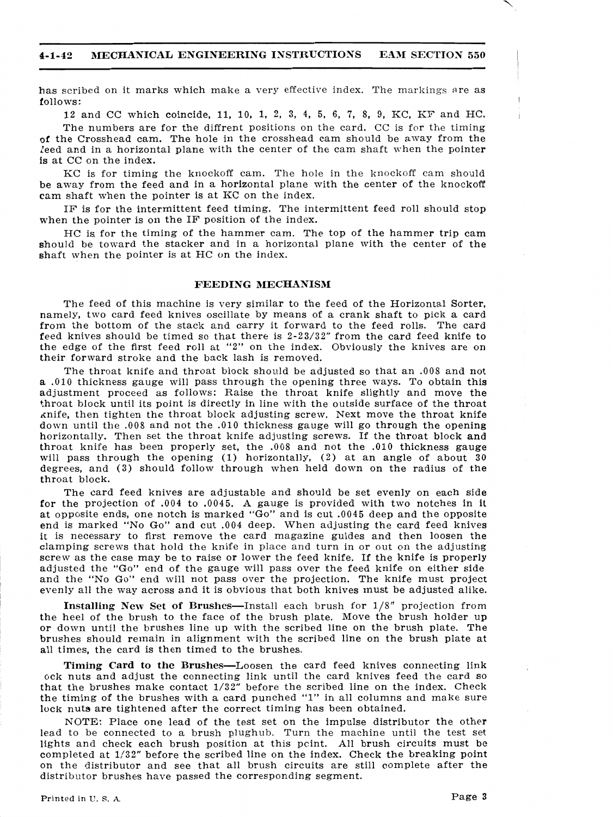#### **4-1-42 MECHANICAL ENGINEERING INSTRUCTIONS EAM SECTION 550**

has scribed on it marks which make a very effective index. The markings are as follows:

12 and CC which coincide, 11, 10, 1, **2, 3,** 4, 5, 6, 7, 8, 9, KC, KF and HC.

IF is for the intermittent feed timing. The intermittent feed roll should stop when the pointer is on the IF position of the index.

The numbers are for the diffrent positions on the card. CC is for the timing of the Crosshead cam. The hole in the crosshead cam should be away from the Ieed and in a horizontal plane with the center of the cam shaft when the pointer is at CC on the index.

KC is for timing the knockoff cam. The hole in the knockoff cam should be away from the feed and in a horizontal plane with the center of the knockoff cam shaft when the pointer is at KC on the index.

HC is, for the timing of the hammer cam. The top of the hammer trip cam should be toward the stacker and in a horizontal plane with the center of the shaft when the pointer is at HC on the index.

#### **FEEDING MECHANISM**

The feed of this machine is very similar to the feed of the Horizontal Sorter, namely, two card feed knives oscillate by means of a crank shaft to pick a card from the bottom of the stack and carry it forward to the feed rolls. The card feed knives should be timed so that there is **2-23/32"** from the card feed knife to the edge of the first feed roll at **"2"** on the index. Obviously the knives are on their forward stroke and the back lash is removed.

**Installing New Set of Brushes—Install each brush for**  $1/8$ **" projection from** the heel of the brush to the face of the brush plate. Move the brush holder up or down until the brushes line up with the scribed line on the brush plate. **The**  brushes should remain in alignment with the scribed line on the brush plate at all times, the card is then timed to the brushes.

**Timing Card to the Brushes—Loosen the card feed knives connecting link** ~clc nuts and adjust the connecting link until the card knives feed the card so that the brushes make contact 1/32" before the scribed line on the index. Check the timing of the brushes with a card punched **"1"** in all columns and make sure lock nuts are tightened after the correct timing has been obtained.

The throat knife and throat block should be adjusted so that an .00S and not a .010 thickness gauge will pass through the opening three ways. To obtain this adjustment proceed as follows: Raise the throat knife slightly and move the throat block until its point is directly in line with the outside surface of the throat knife, then tighten the throat block adjusting screw. Next move the throat knife down until the .008 and not the .010 thickness gauge will go through the opening horizontally. Then set the throat knife adjusting screws. If the throat block and throat knife has been properly set, the .008 and not the .010 thickness gauge will pass through the opening (1) horizontally, **(2)** at an angle of about 30 degrees, and **(3)** should follow through when held down on the radius of the throat block.

The card feed knives are adjustable and should be set evenly on each side for the projection of .004 to .0045. A gauge is provided with two notches in it at opposite ends, one notch is marked "Go" and is cut .0045 deep and the opposite end is marked "No Go" and cut .004 deep. When adjusting the card feed knives it is necessary to first remove the card magazine guides and then loosen the clamping screws that hold the knife in place and turn in or out on the adjusting screw as the case may be to raise or lower the feed knife. If the knife is properly adjusted the "Go" end of the gauge will pass over the feed knife on either side and the "No Go" end will not pass over the projection. The knife must project evenly all the way across and it is obvious that both knives must be adjusted alike.

NOTE: Place one lead of the test set on the impulse distributor the other lead to be connected to a brush plughub. Turn the machine until the test set lights and check each brush position at this pcint. All brush circuits must be completed at 1/32" before the scribed line on the index. Check the breaking point on the distributor and see that all brush circuits are still complete after the distributor brushes have passed the corresponding segment.

Printed in U.S. A<sub>-</sub>  $\angle$  Page 3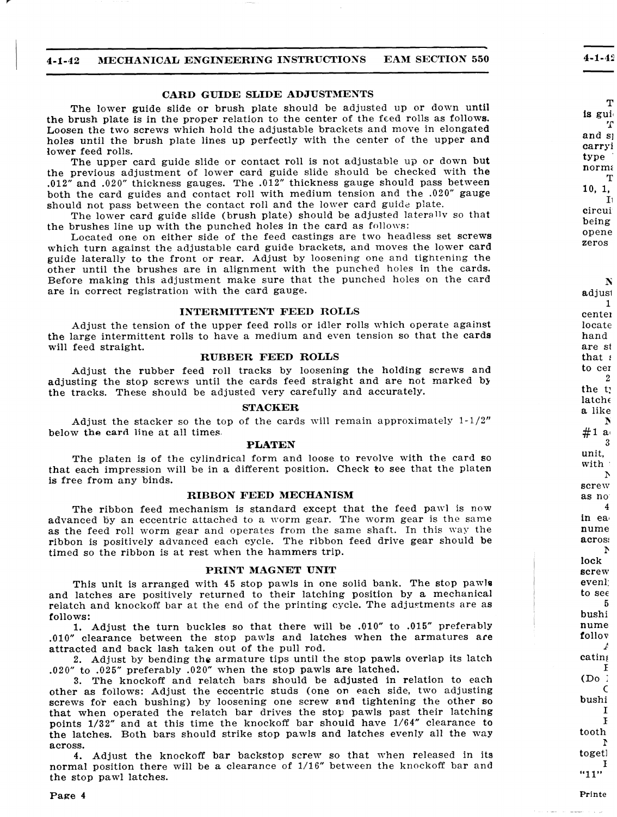--

#### **4-1-42 BKECHANICAL ENGINEERING INSTRUCTIONS EAM SECTION 550**

#### **CARD GUIDE SLIDE ADJUSTMENTS**

The upper card guide slide or contact roll is not adjustable up or down **but**  the previous adjustment of lower card guide slide should be checked with **the ,012"** and **.020"** thickness gauges. The .012" thickness gauge should pass between both the card guides and contact roll with medium tension and the **.020"** gauge should not pass between the contact roll and the lower card guide plate.

The lower guide slide or brush plate should be adjusted up or down until the brush plate is in the proper relation to the center of the feed rolls as follows. Loosen the two screws which hold the adjustable brackets and move in elongated holes until the brush plate lines up perfectly with the center of the upper **and**  lower feed rolls.

The lower card guide slide (brush plate) should be adjusted laterallv so that the brushes line up with the punched holes in the card as follows:

Adjust the stacker so the top of the cards will remain approximately  $1-1/2"$ below **the card** line at all times.

Located one on either side of the feed castings are two headless set screws which turn against the adjustable card guide brackets, and moves the lower card guide laterally to the front or rear. Adjust by loosening one and tightening the other until the brushes are in alignment with the punched holes in the cards. Before making this adjustment make sure that the punched holes on the card are in correct registration with the card gauge.

The ribbon feed mechanism is standard except that the feed pawl is now advanced by an eccentric attached to a worm gear. The worm gear is the same as the feed roll worm gear and operates from the same shaft. In this way the ribbon is positively advanced each cycle. The ribbon feed drive gear should be timed so the ribbon is at rest when the hammers trip.

#### **INTERMITTENT FEED ROLLS**

Adjust the tension of the upper feed rolls or idler rolls which operate against **the** large intermittent rolls to have a medium and even tension so that the **cards**  will feed straight.

#### **RUBBER FEED ROLLS**

Adjust the rubber feed roll tracks by loosening the holding screws **and**  adjusting the stop screws until the cards feed straight and are not marked by the tracks. These should be adjusted very carefully and accurately.

#### **STACKER**

4. Adjust the knockoff bar backstop screw so that when released in its normal position there will be a clearance of 1/16" between the knockoff bar and the stop pawl latches.

#### Page 4

#### **PLATEN**

The platen is of the cylindrical form **and** loose to revolve with the card so that each impression will be in a different position. Check to see that the platen is free from any binds.

#### **RIBBON FEED MECHANISM**

#### **PRINT MAGNET UNIT**

This unit is arranged with 45 stop pawls in one solid bank. The stop pawls and latches are positively returned to their latching position by a mechanical relatch and knockoff bar at the end of the printing cycle. The adjustments are as  $\blacksquare$ 

1. Adjust the turn buckles so that there will be **.010"** to **.015"** preferably <sup>I</sup>

.010" clearance between the stop panrls and latches when the armatures **are**  attracted **and** back lash taken out of the pull rod.

2. Adjust by bending the armature tips until the stop pawls overlap its latch **.020"** to .025" preferably .020" when the stop pawls are latched.

**3.** The knockoff and relatch bars should be adjusted in relation to each other as follows: Adjust the eccentric studs (one on each side, two adjusting screws for each bushing) by loosening one screw **and** tightening the other so that when operated the relatch bar drives the **stop** pawls past their latching points **1/32"** and at this time the knockoff bar should **have** 1/64" clearance to the latches. Both bars should strike stop pawls and latches evenly all the **way**  across.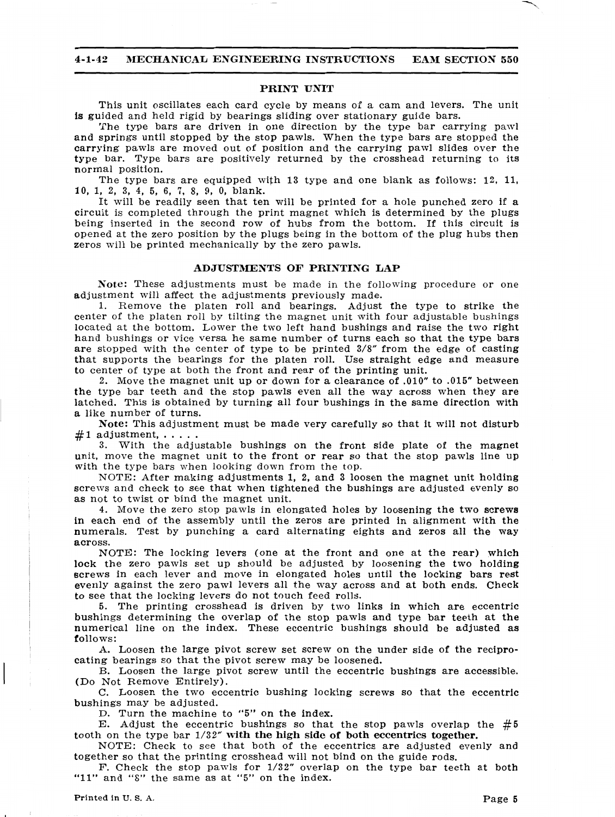-

#### **4-1-42 MECHANICAL ENGINEERING INSTRUCTIONS EAM SECTION 550**

#### **PRINT UNIT**

This unit oscillates each card cycle by means of a cam and levers. The unit is guided and held rigid by bearings sliding over stationary guide bars.

The type bars are driven in one direction by the type bar carrying pawl **and** springs until stopped by the stop pawls. When the type bars are stopped the **carrying** pawls are moved out of position and the carrying pawl slides over the **type** bar. Type bars are positively returned by the crosshead returning to its normal position.

The type bars are equipped with 13 type and one blank as follows: 12, 11, 10, 1, **2, 3, 4, 5, 6, 7,** 8, 9, 0, blank.

It will be readily seen that ten will be printed for a hole punched zero if a circuit is completed through the print magnet which is determined by the plugs being inserted in the second row of hubs from the bottom. If this circuit is opened at the zero position by the plugs being in the bottom of the plug hubs then zeros will be printed mechanically by the zero pawls.

#### **ADJUSTMENTS OF PRINTING LAP**

**Note:** These adjustments must be made in the following procedure or one adjustment will affect the adjustments previously made.

1. Remove the platen roll and bearings. Adjust the type to strike the center of the platen roll by tilting the magnet unit with four adjustable bushings located at the bottom. Lower the two left hand bushings and raise the two right hand bushings or vice versa he same number of turns **each** so that the type **bars**  are stopped with the center of type to be printed **3/8"** from the edge of casting that supports the bearings for the platen roll. Use straight edge and measure to center of type at both the front and rear of the printing unit.

NOTE: The locking levers (one at the front and one at the rear) which lock the zero pawls set up should be adjusted by loosening the two holding screws in each lever and move in elongated holes until the locking bars **rest**  evenly against the zero pawl levers all the way across and at both ends. Check to see that the locking levers do not touch feed rolls.

5. The printing crosshead is driven by two links in which are eccentric bushings determining the overlap of **the** stop pawls and type bar teeth at the <sup>I</sup>numerical line on the index. These eccentric bushings should be adjusted **as** 

follows:

A. Loosen the large pivot screw set screw on the under side of the reciprocating bearings so that the pivot screw may be loosened.

**2.** Move the magnet unit up or down for a clearance of **.010"** to **.0'15"** between **the** type bar teeth and the stop pawls even all the way across when they **are**  latched. This is obtained by turning all four bushings in the same direction with a like number of turns.

**Note:** This adjustment must be made very carefully so that it will not disturb #I adjustment,. . . . . **3.** With the adjustable bushings on the front side plate of the magnet

unit, move the magnet unit to the front or rear so that the stop pawls line up with the type bars when looking down from the top.

NOTE: After making adjustments **1, 2,** and **3** loosen the magnet unit holding screws and check to see that when tightened the bushings are adjusted evenly so as not to twist or bind the magnet unit.

I 4. Move the zero stop pawls in elongated holes by loosening the two **screws** in each end of the assembly until the zeros are printed in alignment with the numerals. Test by punching a card alternating eights and zeros all the **way**  across.

B. Loosen the large pivot screw until the eccentric bushings are accessible. (Do Not Remove Entirely).

*C.* Loosen the two eccentric bushing locking screws so that the eccentric bushings may be adjusted.

D. Turn the machine to **"5"** on the index.

E. Adjust the eccentric bushings so that the stop pawls overlap the **#5**  tooth on the type bar **1/32" with** the **high side of both eccentrics together.** 

NOTE: Check to see that both of the eccentrics are adjusted evenly and together so that the printing crosshead will not bind on the guide rods.

F. Check the stop pawls for 1/32" overlap on **the** type bar teeth at both **"11"** and "8" the same as at **"5"** on the index.

**Printed in U. S. A. Page 5**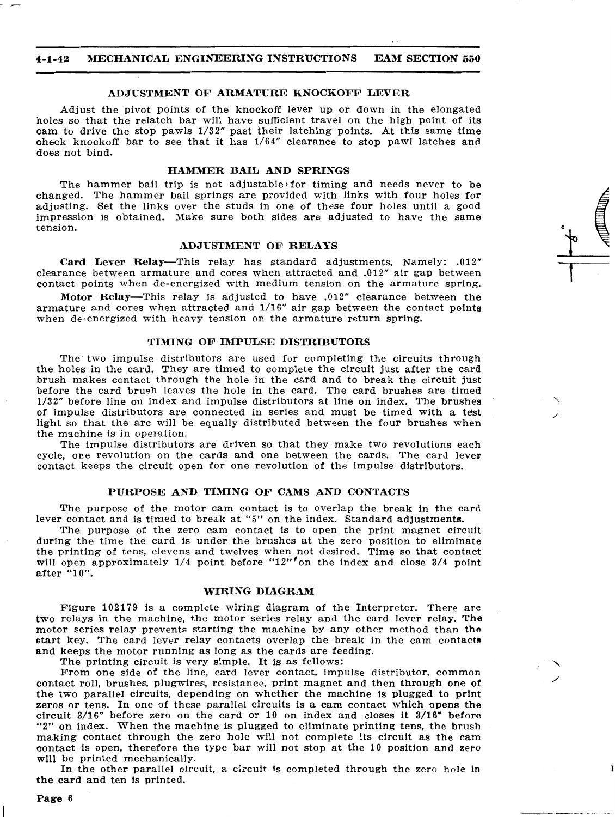### - -- - **4-1-42 AMECHANICAL ENGINEERING INSTRUCTIONS EAM SECTION 550**

#### **ADJUSTMENT OF ARMATURE KNOCKOFF LEVER**

Adjust the pivot points of the knockoff lever up or down in the elongated holes so that the relatch bar will have sufficient travel on the **high** point of its **cam** to drive the stop pawls 1/32" past their latching points. At this same time check knockoff bar to see that it has 1/64" clearance to stop pawl latches **ancl**  does not bind.

The hammer bail trip is not adjustable for timing and needs never to be changed. The hammer bail springs are provided with links with four holes for adjusting. Set the links over the studs in one of these four holes until a good impression is obtained. Make sure both sides are adjusted to have the same tension.

#### **HAMMER BAIL AND SPRINGS**

**Motor Relay—This relay is adjusted to have .012" clearance between the** armature and cores when attracted and 1/16" air gap between the contact points when de-energized with heavy tension on the armature return spring.

#### **ADJUSTMENT OF RELAYS**

**Card** Lever Relay-This relay has standard adjustments, Namely: **.0** 12" clearance between armature and cores when attracted and **.0** 12" air gap between contact points when de-energized with medium tension on the armature spring.

The two impulse distributors are used for completing the circuits through the holes in the card. They are timed to complete the circuit just after the card brush makes contact through the hole in the card and to break the circuit just before the card brush leaves the hole in the card. The card brushes are timed 1/32" before line on index and impulse distributors at line on index. The brushes of impulse distributors are connected in series and must be timed with a **test**  light so that the arc will be equally distributed between the four brushes when the machine is in operation.

#### **TIMING OF IMPULSE DISTRIBUTORS**

In the other parallel circuit, a circuit is completed through the zero hole in **the card** and ten is printed.

The impulse distributors are driven so that they make two revolutions each cycle, one revolution on the cards and one between the cards. The card lever contact keeps the circuit open for one revolution of the impulse distributors.

#### **PURPOSE AND TIMING OF CAMS AND CONTACTS**

The purpose of the motor cam contact is to overlap the break in the card lever contact and is timed to break at **"5"** on the index. Standard **adjustments.** 

The purpose of the zero cam contact is to open the print magnet circuit during the time the card is under the brushes at the zero position to eliminate the printing of tens, elevens and twelves when not desired. Time so that contact will open approximately 1/4 point before "12"'on the index and close 3/4 point after **"1 0".** 

#### **WIRING DIAGRAM**

Figure 102179 is a complete wiring diagram of the Interpreter. There **are**  two relays in the machine, the motor series relay and the card lever relay. The motor series relay prevents starting the machine by any other method **than the** 

start key. The card lever relay contacts overlap the break in the cam contacts and keeps the motor running as long as the cards are feeding.

The printing circuit is very simple. It is as follows:

From one side of the line, card lever contact, impulse distributor, common contact roll, brushes, plugwires, resistance, print magnet and then through one **of**  the two parallel circuits, depending on whether the machine is **plugged** to **print**  zeros or tens. In one of these parallel circuits is a cam contact which opens **the**  circuit 3/16" before zero on the card or **10** on index and closes it 3/16" before **"2"** on index. When the machine is plugged to eliminate printing tens, **the** brush making contact through the zero hole will not complete its circuit as the cam contact is open, therefore the type bar will not stop at the 10 position **and** zero will be printed mechanically.

#### **Page 6**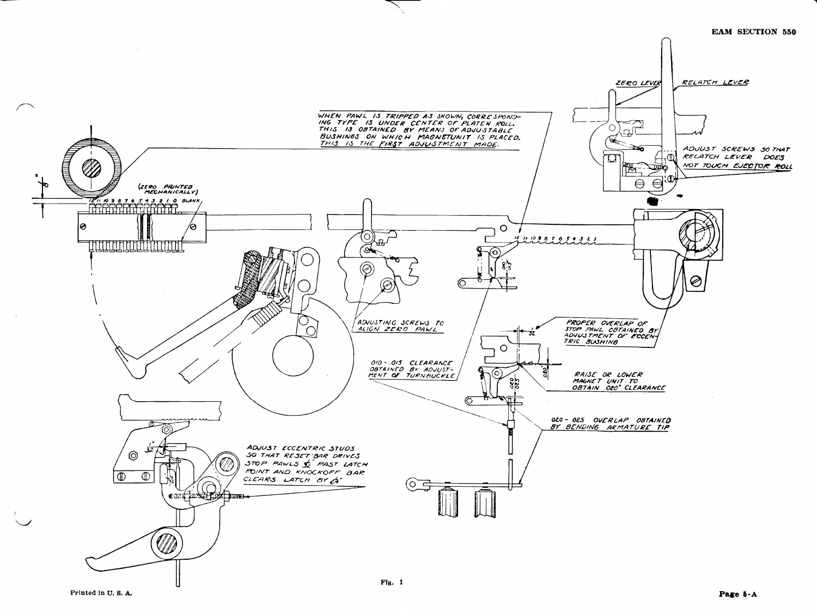

Printed in U.S.A.

#### **EAM SECTION 550**

Page 5-A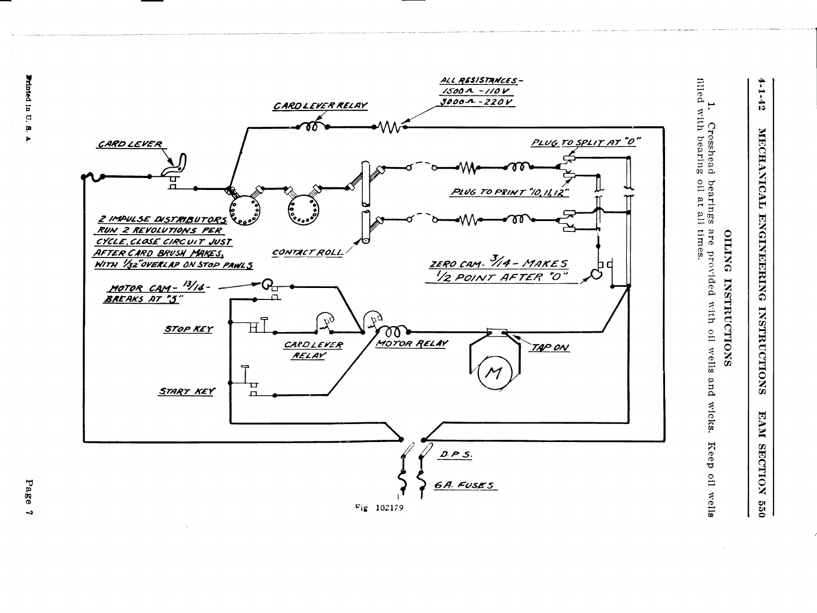## **OILING INSTRUCTIONS**  OILING INSTRUCTIONS

**filled** filled with bearing oil l. Crosshead<br>with bearing Crosshead bearings are **at** all times. **provided** with oil rvells and wicks. Keep oil wells and wicks. Keep oil wells

# **4-1 -42** 1 10 JERUAL BRUNDERN DREMA INSTRUME ET LE CEULUI DE SU MECHANICAL ENGINEERING **BKECCHAhTICAL ENGINEERING IXSTRUCTIONS EAM SECTION INSTRUCTIONS EAM** SECTION **550**



**Page** 

 $\rightarrow$ 

 $\mathbf{a}$ Ø  $\blacktriangleright$ 

Printed in